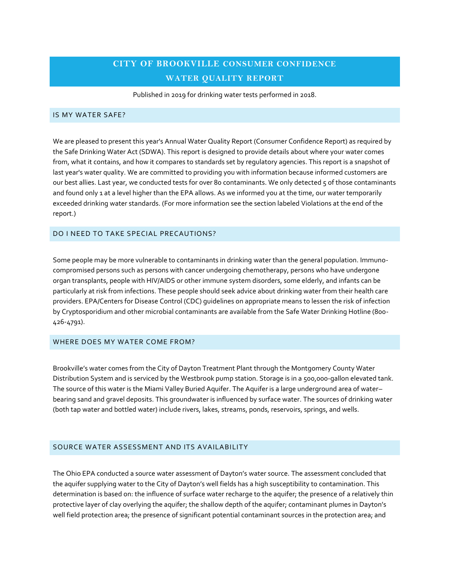# **CITY OF BROOKVILLE CONSUMER CONFIDENCE WATER QUALITY REPORT**

Published in 2019 for drinking water tests performed in 2018.

#### IS MY WATER SAFE?

We are pleased to present this year's Annual Water Quality Report (Consumer Confidence Report) as required by the Safe Drinking Water Act (SDWA). This report is designed to provide details about where your water comes from, what it contains, and how it compares to standards set by regulatory agencies. This report is a snapshot of last year's water quality. We are committed to providing you with information because informed customers are our best allies. Last year, we conducted tests for over 80 contaminants. We only detected 5 of those contaminants and found only 1 at a level higher than the EPA allows. As we informed you at the time, our water temporarily exceeded drinking water standards. (For more information see the section labeled Violations at the end of the report.)

#### DO I NEED TO TAKE SPECIAL PRECAUTIONS?

Some people may be more vulnerable to contaminants in drinking water than the general population. Immunocompromised persons such as persons with cancer undergoing chemotherapy, persons who have undergone organ transplants, people with HIV/AIDS or other immune system disorders, some elderly, and infants can be particularly at risk from infections. These people should seek advice about drinking water from their health care providers. EPA/Centers for Disease Control (CDC) guidelines on appropriate means to lessen the risk of infection by Cryptosporidium and other microbial contaminants are available from the Safe Water Drinking Hotline (800- 426-4791).

#### WHERE DOES MY WATER COME FROM?

Brookville's water comes from the City of Dayton Treatment Plant through the Montgomery County Water Distribution System and is serviced by the Westbrook pump station. Storage is in a 500,000-gallon elevated tank. The source of this water is the Miami Valley Buried Aquifer. The Aquifer is a large underground area of water– bearing sand and gravel deposits. This groundwater is influenced by surface water. The sources of drinking water (both tap water and bottled water) include rivers, lakes, streams, ponds, reservoirs, springs, and wells.

# SOURCE WATER ASSESSMENT AND ITS AVAILABILITY

The Ohio EPA conducted a source water assessment of Dayton's water source. The assessment concluded that the aquifer supplying water to the City of Dayton's well fields has a high susceptibility to contamination. This determination is based on: the influence of surface water recharge to the aquifer; the presence of a relatively thin protective layer of clay overlying the aquifer; the shallow depth of the aquifer; contaminant plumes in Dayton's well field protection area; the presence of significant potential contaminant sources in the protection area; and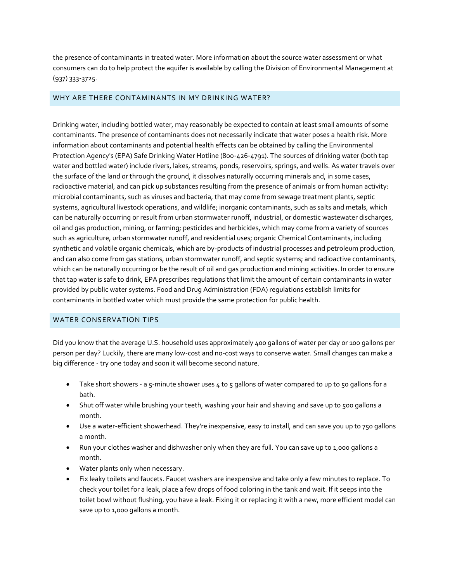the presence of contaminants in treated water. More information about the source water assessment or what consumers can do to help protect the aquifer is available by calling the Division of Environmental Management at (937) 333-3725.

# WHY ARE THERE CONTAMINANTS IN MY DRINKING WATER?

Drinking water, including bottled water, may reasonably be expected to contain at least small amounts of some contaminants. The presence of contaminants does not necessarily indicate that water poses a health risk. More information about contaminants and potential health effects can be obtained by calling the Environmental Protection Agency's (EPA) Safe Drinking Water Hotline (800-426-4791). The sources of drinking water (both tap water and bottled water) include rivers, lakes, streams, ponds, reservoirs, springs, and wells. As water travels over the surface of the land or through the ground, it dissolves naturally occurring minerals and, in some cases, radioactive material, and can pick up substances resulting from the presence of animals or from human activity: microbial contaminants, such as viruses and bacteria, that may come from sewage treatment plants, septic systems, agricultural livestock operations, and wildlife; inorganic contaminants, such as salts and metals, which can be naturally occurring or result from urban stormwater runoff, industrial, or domestic wastewater discharges, oil and gas production, mining, or farming; pesticides and herbicides, which may come from a variety of sources such as agriculture, urban stormwater runoff, and residential uses; organic Chemical Contaminants, including synthetic and volatile organic chemicals, which are by-products of industrial processes and petroleum production, and can also come from gas stations, urban stormwater runoff, and septic systems; and radioactive contaminants, which can be naturally occurring or be the result of oil and gas production and mining activities. In order to ensure that tap water is safe to drink, EPA prescribes regulations that limit the amount of certain contaminants in water provided by public water systems. Food and Drug Administration (FDA) regulations establish limits for contaminants in bottled water which must provide the same protection for public health.

# WATER CONSERVATION TIPS

Did you know that the average U.S. household uses approximately 400 gallons of water per day or 100 gallons per person per day? Luckily, there are many low-cost and no-cost ways to conserve water. Small changes can make a big difference - try one today and soon it will become second nature.

- Take short showers a 5-minute shower uses 4 to 5 gallons of water compared to up to 50 gallons for a bath.
- Shut off water while brushing your teeth, washing your hair and shaving and save up to 500 gallons a month.
- Use a water-efficient showerhead. They're inexpensive, easy to install, and can save you up to 750 gallons a month.
- Run your clothes washer and dishwasher only when they are full. You can save up to 1,000 gallons a month.
- Water plants only when necessary.
- Fix leaky toilets and faucets. Faucet washers are inexpensive and take only a few minutes to replace. To check your toilet for a leak, place a few drops of food coloring in the tank and wait. If it seeps into the toilet bowl without flushing, you have a leak. Fixing it or replacing it with a new, more efficient model can save up to 1,000 gallons a month.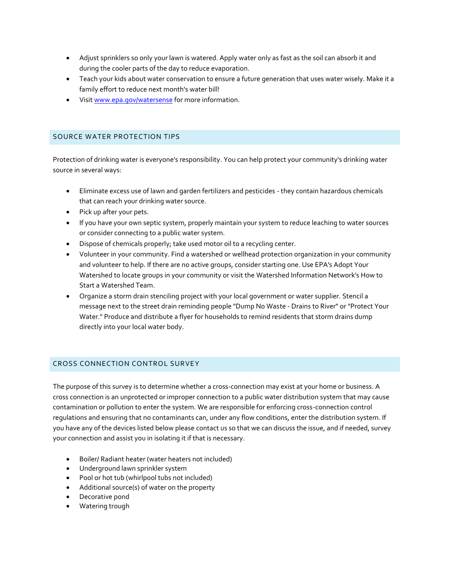- Adjust sprinklers so only your lawn is watered. Apply water only as fast as the soil can absorb it and during the cooler parts of the day to reduce evaporation.
- Teach your kids about water conservation to ensure a future generation that uses water wisely. Make it a family effort to reduce next month's water bill!
- Visi[t www.epa.gov/watersense](http://www.epa.gov/watersense) for more information.

### SOURCE WATER PROTECTION TIPS

Protection of drinking water is everyone's responsibility. You can help protect your community's drinking water source in several ways:

- Eliminate excess use of lawn and garden fertilizers and pesticides they contain hazardous chemicals that can reach your drinking water source.
- Pick up after your pets.
- If you have your own septic system, properly maintain your system to reduce leaching to water sources or consider connecting to a public water system.
- Dispose of chemicals properly; take used motor oil to a recycling center.
- Volunteer in your community. Find a watershed or wellhead protection organization in your community and volunteer to help. If there are no active groups, consider starting one. Use EPA's Adopt Your Watershed to locate groups in your community or visit the Watershed Information Network's How to Start a Watershed Team.
- Organize a storm drain stenciling project with your local government or water supplier. Stencil a message next to the street drain reminding people "Dump No Waste - Drains to River" or "Protect Your Water." Produce and distribute a flyer for households to remind residents that storm drains dump directly into your local water body.

# CROSS CONNECTION CONTROL SURVEY

The purpose of this survey is to determine whether a cross-connection may exist at your home or business. A cross connection is an unprotected or improper connection to a public water distribution system that may cause contamination or pollution to enter the system. We are responsible for enforcing cross-connection control regulations and ensuring that no contaminants can, under any flow conditions, enter the distribution system. If you have any of the devices listed below please contact us so that we can discuss the issue, and if needed, survey your connection and assist you in isolating it if that is necessary.

- Boiler/ Radiant heater (water heaters not included)
- Underground lawn sprinkler system
- Pool or hot tub (whirlpool tubs not included)
- Additional source(s) of water on the property
- Decorative pond
- Watering trough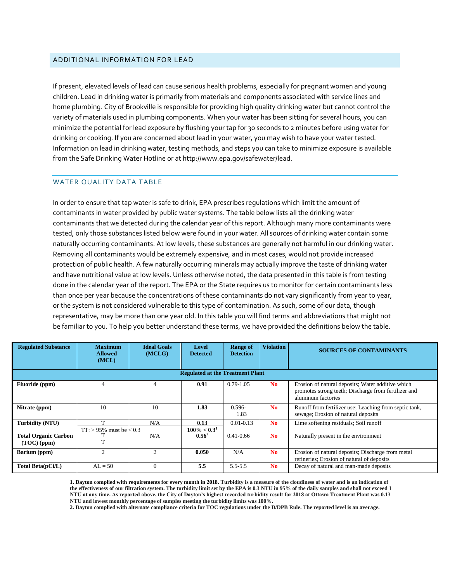#### ADDITIONAL INFORMATION FOR LEAD

If present, elevated levels of lead can cause serious health problems, especially for pregnant women and young children. Lead in drinking water is primarily from materials and components associated with service lines and home plumbing. City of Brookville is responsible for providing high quality drinking water but cannot control the variety of materials used in plumbing components. When your water has been sitting for several hours, you can minimize the potential for lead exposure by flushing your tap for 30 seconds to 2 minutes before using water for drinking or cooking. If you are concerned about lead in your water, you may wish to have your water tested. Information on lead in drinking water, testing methods, and steps you can take to minimize exposure is available from the Safe Drinking Water Hotline or at http://www.epa.gov/safewater/lead.

### WATER QUALITY DATA TABLE

In order to ensure that tap water is safe to drink, EPA prescribes regulations which limit the amount of contaminants in water provided by public water systems. The table below lists all the drinking water contaminants that we detected during the calendar year of this report. Although many more contaminants were tested, only those substances listed below were found in your water. All sources of drinking water contain some naturally occurring contaminants. At low levels, these substances are generally not harmful in our drinking water. Removing all contaminants would be extremely expensive, and in most cases, would not provide increased protection of public health. A few naturally occurring minerals may actually improve the taste of drinking water and have nutritional value at low levels. Unless otherwise noted, the data presented in this table is from testing done in the calendar year of the report. The EPA or the State requires us to monitor for certain contaminants less than once per year because the concentrations of these contaminants do not vary significantly from year to year, or the system is not considered vulnerable to this type of contamination. As such, some of our data, though representative, may be more than one year old. In this table you will find terms and abbreviations that might not be familiar to you. To help you better understand these terms, we have provided the definitions below the table.

| <b>Regulated Substance</b>                   | <b>Maximum</b><br><b>Allowed</b><br>(MCL) | <b>Ideal Goals</b><br>(MCLG) | <b>Level</b><br><b>Detected</b> | <b>Range of</b><br><b>Detection</b> | <b>Violation</b> | <b>SOURCES OF CONTAMINANTS</b>                                                                                                  |  |  |
|----------------------------------------------|-------------------------------------------|------------------------------|---------------------------------|-------------------------------------|------------------|---------------------------------------------------------------------------------------------------------------------------------|--|--|
| <b>Regulated at the Treatment Plant</b>      |                                           |                              |                                 |                                     |                  |                                                                                                                                 |  |  |
| Fluoride (ppm)                               |                                           |                              | 0.91                            | $0.79 - 1.05$                       | N <sub>0</sub>   | Erosion of natural deposits; Water additive which<br>promotes strong teeth; Discharge from fertilizer and<br>aluminum factories |  |  |
| Nitrate (ppm)                                | 10                                        | 10                           | 1.83                            | $0.596 -$<br>1.83                   | N <sub>0</sub>   | Runoff from fertilizer use; Leaching from septic tank,<br>sewage; Erosion of natural deposits                                   |  |  |
| Turbidity (NTU)                              | $TT: > 95\%$ must be $< 0.3$              | N/A                          | 0.13<br>$100\% < 0.3^1$         | $0.01 - 0.13$                       | N <sub>0</sub>   | Lime softening residuals; Soil runoff                                                                                           |  |  |
| <b>Total Organic Carbon</b><br>$(TOC)$ (ppm) |                                           | N/A                          | $0.56^2$                        | $0.41 - 0.66$                       | N <sub>0</sub>   | Naturally present in the environment                                                                                            |  |  |
| Barium (ppm)                                 | $\mathfrak{D}$                            |                              | 0.050                           | N/A                                 | N <sub>0</sub>   | Erosion of natural deposits; Discharge from metal<br>refineries; Erosion of natural of deposits                                 |  |  |
| Total Beta(pCi/L)                            | $AI = 50$                                 |                              | 5.5                             | $5.5 - 5.5$                         | N <sub>0</sub>   | Decay of natural and man-made deposits                                                                                          |  |  |

**1. Dayton complied with requirements for every month in 2018. Turbidity is a measure of the cloudiness of water and is an indication of the effectiveness of our filtration system. The turbidity limit set by the EPA is 0.3 NTU in 95% of the daily samples and shall not exceed 1 NTU at any time. As reported above, the City of Dayton's highest recorded turbidity result for 2018 at Ottawa Treatment Plant was 0.13 NTU and lowest monthly percentage of samples meeting the turbidity limits was 100%.**

**2. Dayton complied with alternate compliance criteria for TOC regulations under the D/DPB Rule. The reported level is an average.**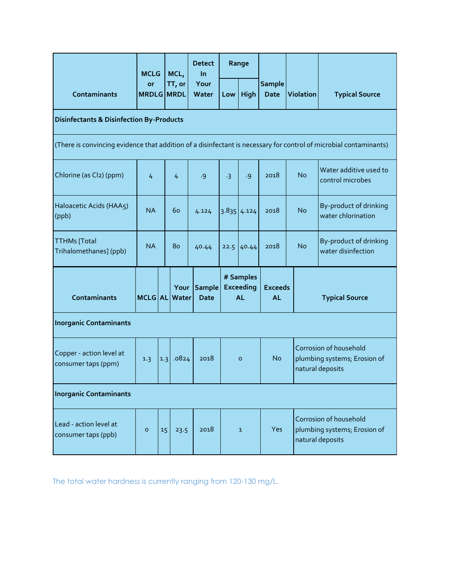|                                                                                                                   | <b>MCLG</b><br>or<br><b>MRDLG MRDL</b> |                 | MCL,<br>TT, or | <b>Detect</b><br><b>In</b><br>Your<br>Water | Range   |                                                                           |                              |                  |                                                                            |  |
|-------------------------------------------------------------------------------------------------------------------|----------------------------------------|-----------------|----------------|---------------------------------------------|---------|---------------------------------------------------------------------------|------------------------------|------------------|----------------------------------------------------------------------------|--|
| <b>Contaminants</b>                                                                                               |                                        |                 |                |                                             | Low     | High                                                                      | <b>Sample</b><br><b>Date</b> | <b>Violation</b> | <b>Typical Source</b>                                                      |  |
| <b>Disinfectants &amp; Disinfection By-Products</b>                                                               |                                        |                 |                |                                             |         |                                                                           |                              |                  |                                                                            |  |
| (There is convincing evidence that addition of a disinfectant is necessary for control of microbial contaminants) |                                        |                 |                |                                             |         |                                                                           |                              |                  |                                                                            |  |
| Chlorine (as Cl2) (ppm)                                                                                           | 4                                      |                 | 4              | .9                                          | $-3$    | .9                                                                        | 2018                         | <b>No</b>        | Water additive used to<br>control microbes                                 |  |
| Haloacetic Acids (HAA5)<br>(ppb)                                                                                  | <b>NA</b>                              |                 | 60             | 4.124                                       |         | $3.835$ 4.124                                                             | 2018                         | <b>No</b>        | By-product of drinking<br>water chlorination                               |  |
| <b>TTHMs</b> [Total<br>Trihalomethanes] (ppb)                                                                     | <b>NA</b>                              |                 | 80             | 40.44                                       |         | $22.5$ 40.44                                                              | 2018                         | <b>No</b>        | By-product of drinking<br>water disinfection                               |  |
| Contaminants<br>MCLG AL Water                                                                                     |                                        |                 | Your           | <b>Sample</b><br><b>Date</b>                |         | # Samples<br><b>Exceeds</b><br><b>Exceeding</b><br><b>AL</b><br><b>AL</b> |                              |                  | <b>Typical Source</b>                                                      |  |
| <b>Inorganic Contaminants</b>                                                                                     |                                        |                 |                |                                             |         |                                                                           |                              |                  |                                                                            |  |
| Copper - action level at<br>consumer taps (ppm)                                                                   | 1.3                                    |                 | $1.3$ .0824    | 2018                                        | $\circ$ |                                                                           | <b>No</b>                    |                  | Corrosion of household<br>plumbing systems; Erosion of<br>natural deposits |  |
| <b>Inorganic Contaminants</b>                                                                                     |                                        |                 |                |                                             |         |                                                                           |                              |                  |                                                                            |  |
| Lead - action level at<br>consumer taps (ppb)                                                                     | $\circ$                                | 15 <sub>1</sub> | 23.5           | 2018                                        |         | $\mathbf{1}$                                                              | Yes                          |                  | Corrosion of household<br>plumbing systems; Erosion of<br>natural deposits |  |

The total water hardness is currently ranging from 120-130 mg/L.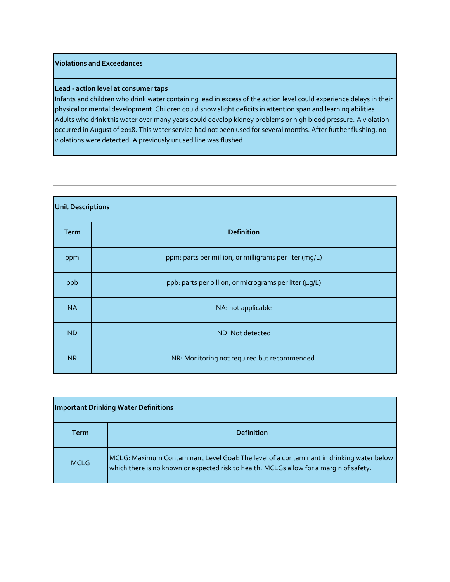# **Violations and Exceedances**

#### **Lead - action level at consumer taps**

Infants and children who drink water containing lead in excess of the action level could experience delays in their physical or mental development. Children could show slight deficits in attention span and learning abilities. Adults who drink this water over many years could develop kidney problems or high blood pressure. A violation occurred in August of 2018. This water service had not been used for several months. After further flushing, no violations were detected. A previously unused line was flushed.

| <b>Unit Descriptions</b> |                                                        |  |  |  |  |
|--------------------------|--------------------------------------------------------|--|--|--|--|
| <b>Term</b>              | <b>Definition</b>                                      |  |  |  |  |
| ppm                      | ppm: parts per million, or milligrams per liter (mg/L) |  |  |  |  |
| ppb                      | ppb: parts per billion, or micrograms per liter (µg/L) |  |  |  |  |
| <b>NA</b>                | NA: not applicable                                     |  |  |  |  |
| <b>ND</b>                | ND: Not detected                                       |  |  |  |  |
| <b>NR</b>                | NR: Monitoring not required but recommended.           |  |  |  |  |

| <b>Important Drinking Water Definitions</b> |                                                                                                                                                                                     |  |  |  |
|---------------------------------------------|-------------------------------------------------------------------------------------------------------------------------------------------------------------------------------------|--|--|--|
| Term                                        | <b>Definition</b>                                                                                                                                                                   |  |  |  |
| <b>MCLG</b>                                 | MCLG: Maximum Contaminant Level Goal: The level of a contaminant in drinking water below<br>which there is no known or expected risk to health. MCLGs allow for a margin of safety. |  |  |  |